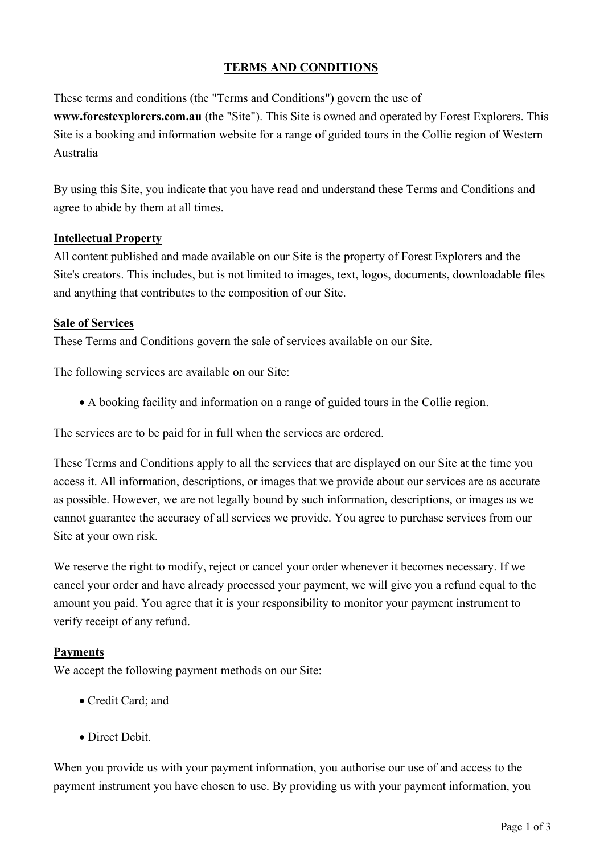# **TERMS AND CONDITIONS**

These terms and conditions (the "Terms and Conditions") govern the use of

**www.forestexplorers.com.au** (the "Site"). This Site is owned and operated by Forest Explorers. This Site is a booking and information website for a range of guided tours in the Collie region of Western Australia

By using this Site, you indicate that you have read and understand these Terms and Conditions and agree to abide by them at all times.

### **Intellectual Property**

All content published and made available on our Site is the property of Forest Explorers and the Site's creators. This includes, but is not limited to images, text, logos, documents, downloadable files and anything that contributes to the composition of our Site.

### **Sale of Services**

These Terms and Conditions govern the sale of services available on our Site.

The following services are available on our Site:

A booking facility and information on a range of guided tours in the Collie region.

The services are to be paid for in full when the services are ordered.

These Terms and Conditions apply to all the services that are displayed on our Site at the time you access it. All information, descriptions, or images that we provide about our services are as accurate as possible. However, we are not legally bound by such information, descriptions, or images as we cannot guarantee the accuracy of all services we provide. You agree to purchase services from our Site at your own risk.

We reserve the right to modify, reject or cancel your order whenever it becomes necessary. If we cancel your order and have already processed your payment, we will give you a refund equal to the amount you paid. You agree that it is your responsibility to monitor your payment instrument to verify receipt of any refund.

### **Payments**

We accept the following payment methods on our Site:

- Credit Card; and
- Direct Debit.

When you provide us with your payment information, you authorise our use of and access to the payment instrument you have chosen to use. By providing us with your payment information, you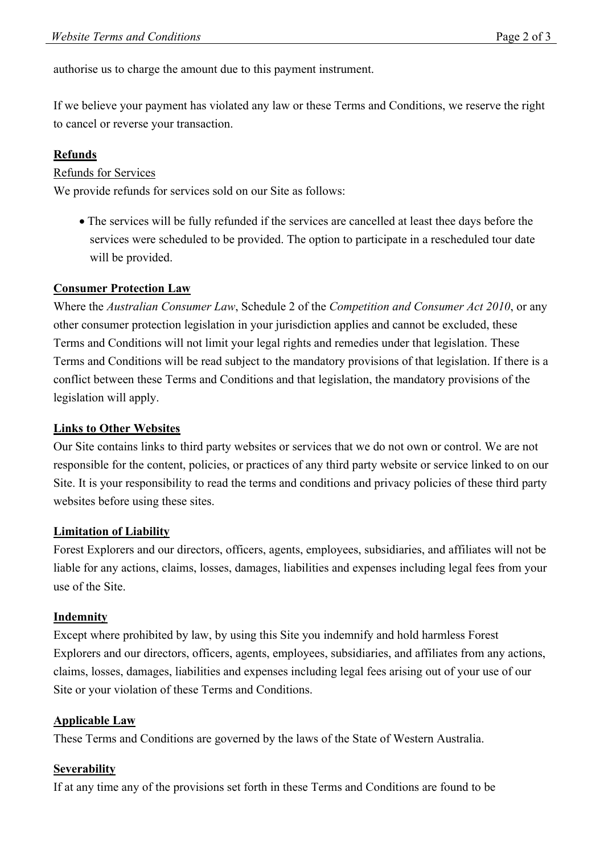authorise us to charge the amount due to this payment instrument.

If we believe your payment has violated any law or these Terms and Conditions, we reserve the right to cancel or reverse your transaction.

# **Refunds**

Refunds for Services

We provide refunds for services sold on our Site as follows:

 The services will be fully refunded if the services are cancelled at least thee days before the services were scheduled to be provided. The option to participate in a rescheduled tour date will be provided.

# **Consumer Protection Law**

Where the *Australian Consumer Law*, Schedule 2 of the *Competition and Consumer Act 2010*, or any other consumer protection legislation in your jurisdiction applies and cannot be excluded, these Terms and Conditions will not limit your legal rights and remedies under that legislation. These Terms and Conditions will be read subject to the mandatory provisions of that legislation. If there is a conflict between these Terms and Conditions and that legislation, the mandatory provisions of the legislation will apply.

### **Links to Other Websites**

Our Site contains links to third party websites or services that we do not own or control. We are not responsible for the content, policies, or practices of any third party website or service linked to on our Site. It is your responsibility to read the terms and conditions and privacy policies of these third party websites before using these sites.

### **Limitation of Liability**

Forest Explorers and our directors, officers, agents, employees, subsidiaries, and affiliates will not be liable for any actions, claims, losses, damages, liabilities and expenses including legal fees from your use of the Site.

### **Indemnity**

Except where prohibited by law, by using this Site you indemnify and hold harmless Forest Explorers and our directors, officers, agents, employees, subsidiaries, and affiliates from any actions, claims, losses, damages, liabilities and expenses including legal fees arising out of your use of our Site or your violation of these Terms and Conditions.

### **Applicable Law**

These Terms and Conditions are governed by the laws of the State of Western Australia.

### **Severability**

If at any time any of the provisions set forth in these Terms and Conditions are found to be